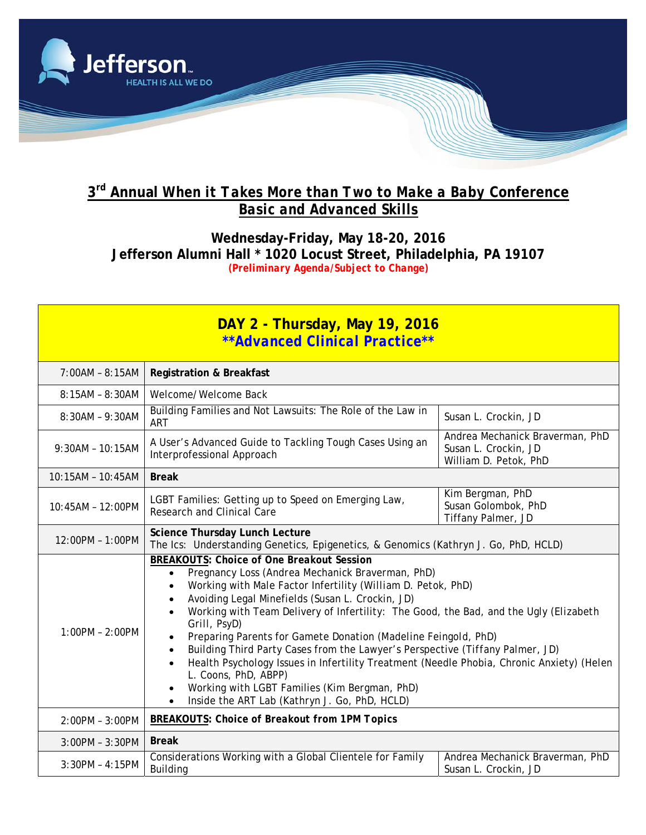

## **3rd Annual** *When it Takes More than Two to Make a Baby* **Conference** *Basic and Advanced Skills*

**Wednesday-Friday, May 18-20, 2016 Jefferson Alumni Hall \* 1020 Locust Street, Philadelphia, PA 19107** *(Preliminary Agenda/Subject to Change)* 

| <b>DAY 2 - Thursday, May 19, 2016</b> |
|---------------------------------------|
| **Advanced Clinical Practice**        |

| 7:00AM - 8:15AM   | <b>Registration &amp; Breakfast</b>                                                                                                                                                                                                                                                                                                                                                                                                                                                                                                                                                                                                                                                                                                                                                                 |                                                                                  |  |
|-------------------|-----------------------------------------------------------------------------------------------------------------------------------------------------------------------------------------------------------------------------------------------------------------------------------------------------------------------------------------------------------------------------------------------------------------------------------------------------------------------------------------------------------------------------------------------------------------------------------------------------------------------------------------------------------------------------------------------------------------------------------------------------------------------------------------------------|----------------------------------------------------------------------------------|--|
| 8:15AM - 8:30AM   | Welcome/Welcome Back                                                                                                                                                                                                                                                                                                                                                                                                                                                                                                                                                                                                                                                                                                                                                                                |                                                                                  |  |
| $8:30AM - 9:30AM$ | Building Families and Not Lawsuits: The Role of the Law in<br><b>ART</b>                                                                                                                                                                                                                                                                                                                                                                                                                                                                                                                                                                                                                                                                                                                            | Susan L. Crockin, JD                                                             |  |
| 9:30AM - 10:15AM  | A User's Advanced Guide to Tackling Tough Cases Using an<br>Interprofessional Approach                                                                                                                                                                                                                                                                                                                                                                                                                                                                                                                                                                                                                                                                                                              | Andrea Mechanick Braverman, PhD<br>Susan L. Crockin, JD<br>William D. Petok, PhD |  |
| 10:15AM - 10:45AM | <b>Break</b>                                                                                                                                                                                                                                                                                                                                                                                                                                                                                                                                                                                                                                                                                                                                                                                        |                                                                                  |  |
| 10:45AM - 12:00PM | LGBT Families: Getting up to Speed on Emerging Law,<br>Research and Clinical Care                                                                                                                                                                                                                                                                                                                                                                                                                                                                                                                                                                                                                                                                                                                   | Kim Bergman, PhD<br>Susan Golombok, PhD<br>Tiffany Palmer, JD                    |  |
| 12:00PM - 1:00PM  | Science Thursday Lunch Lecture<br>The Ics: Understanding Genetics, Epigenetics, & Genomics (Kathryn J. Go, PhD, HCLD)                                                                                                                                                                                                                                                                                                                                                                                                                                                                                                                                                                                                                                                                               |                                                                                  |  |
| $1:00PM - 2:00PM$ | <b>BREAKOUTS: Choice of One Breakout Session</b><br>Pregnancy Loss (Andrea Mechanick Braverman, PhD)<br>$\bullet$<br>Working with Male Factor Infertility (William D. Petok, PhD)<br>$\bullet$<br>Avoiding Legal Minefields (Susan L. Crockin, JD)<br>$\bullet$<br>Working with Team Delivery of Infertility: The Good, the Bad, and the Ugly (Elizabeth<br>$\bullet$<br>Grill, PsyD)<br>Preparing Parents for Gamete Donation (Madeline Feingold, PhD)<br>٠<br>Building Third Party Cases from the Lawyer's Perspective (Tiffany Palmer, JD)<br>$\bullet$<br>Health Psychology Issues in Infertility Treatment (Needle Phobia, Chronic Anxiety) (Helen<br>L. Coons, PhD, ABPP)<br>Working with LGBT Families (Kim Bergman, PhD)<br>٠<br>Inside the ART Lab (Kathryn J. Go, PhD, HCLD)<br>$\bullet$ |                                                                                  |  |
| 2:00PM - 3:00PM   | <b>BREAKOUTS: Choice of Breakout from 1PM Topics</b>                                                                                                                                                                                                                                                                                                                                                                                                                                                                                                                                                                                                                                                                                                                                                |                                                                                  |  |
| 3:00PM - 3:30PM   | <b>Break</b>                                                                                                                                                                                                                                                                                                                                                                                                                                                                                                                                                                                                                                                                                                                                                                                        |                                                                                  |  |
| $3:30PM - 4:15PM$ | Considerations Working with a Global Clientele for Family<br><b>Building</b>                                                                                                                                                                                                                                                                                                                                                                                                                                                                                                                                                                                                                                                                                                                        | Andrea Mechanick Braverman, PhD<br>Susan L. Crockin, JD                          |  |